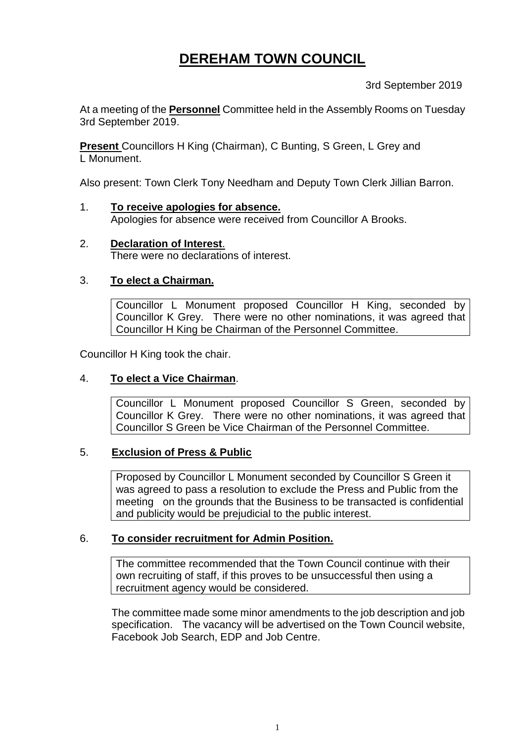# **DEREHAM TOWN COUNCIL**

3rd September 2019

At a meeting of the **Personnel** Committee held in the Assembly Rooms on Tuesday 3rd September 2019.

**Present** Councillors H King (Chairman), C Bunting, S Green, L Grey and L Monument.

Also present: Town Clerk Tony Needham and Deputy Town Clerk Jillian Barron.

- 1. **To receive apologies for absence.** Apologies for absence were received from Councillor A Brooks.
- 2. **Declaration of Interest**. There were no declarations of interest.

## 3. **To elect a Chairman.**

Councillor L Monument proposed Councillor H King, seconded by Councillor K Grey. There were no other nominations, it was agreed that Councillor H King be Chairman of the Personnel Committee.

Councillor H King took the chair.

### 4. **To elect a Vice Chairman**.

Councillor L Monument proposed Councillor S Green, seconded by Councillor K Grey. There were no other nominations, it was agreed that Councillor S Green be Vice Chairman of the Personnel Committee.

### 5. **Exclusion of Press & Public**

Proposed by Councillor L Monument seconded by Councillor S Green it was agreed to pass a resolution to exclude the Press and Public from the meeting on the grounds that the Business to be transacted is confidential and publicity would be prejudicial to the public interest.

### 6. **To consider recruitment for Admin Position.**

The committee recommended that the Town Council continue with their own recruiting of staff, if this proves to be unsuccessful then using a recruitment agency would be considered.

The committee made some minor amendments to the job description and job specification. The vacancy will be advertised on the Town Council website, Facebook Job Search, EDP and Job Centre.